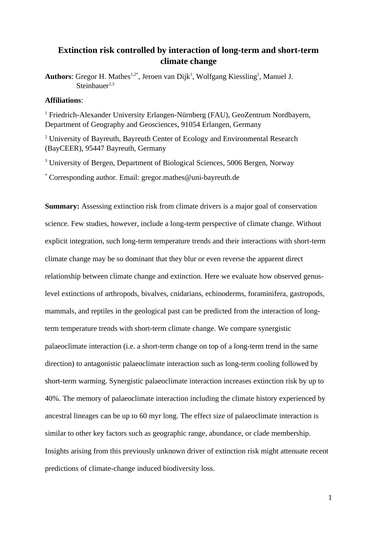## **Extinction risk controlled by interaction of long-term and short-term climate change**

Authors: Gregor H. Mathes<sup>1,2\*</sup>, Jeroen van Dijk<sup>1</sup>, Wolfgang Kiessling<sup>1</sup>, Manuel J.  $Stpinbauer<sup>2,3</sup>$ 

### **Affiliations**:

<sup>1</sup> Friedrich-Alexander University Erlangen-Nürnberg (FAU), GeoZentrum Nordbayern, Department of Geography and Geosciences, 91054 Erlangen, Germany

<sup>2</sup> University of Bayreuth, Bayreuth Center of Ecology and Environmental Research (BayCEER), 95447 Bayreuth, Germany

<sup>3</sup> University of Bergen, Department of Biological Sciences, 5006 Bergen, Norway

\* Corresponding author. Email: gregor.mathes@uni-bayreuth.de

**Summary:** Assessing extinction risk from climate drivers is a major goal of conservation science. Few studies, however, include a long-term perspective of climate change. Without explicit integration, such long-term temperature trends and their interactions with short-term climate change may be so dominant that they blur or even reverse the apparent direct relationship between climate change and extinction. Here we evaluate how observed genuslevel extinctions of arthropods, bivalves, cnidarians, echinoderms, foraminifera, gastropods, mammals, and reptiles in the geological past can be predicted from the interaction of longterm temperature trends with short-term climate change. We compare synergistic palaeoclimate interaction (i.e. a short-term change on top of a long-term trend in the same direction) to antagonistic palaeoclimate interaction such as long-term cooling followed by short-term warming. Synergistic palaeoclimate interaction increases extinction risk by up to 40%. The memory of palaeoclimate interaction including the climate history experienced by ancestral lineages can be up to 60 myr long. The effect size of palaeoclimate interaction is similar to other key factors such as geographic range, abundance, or clade membership. Insights arising from this previously unknown driver of extinction risk might attenuate recent predictions of climate-change induced biodiversity loss.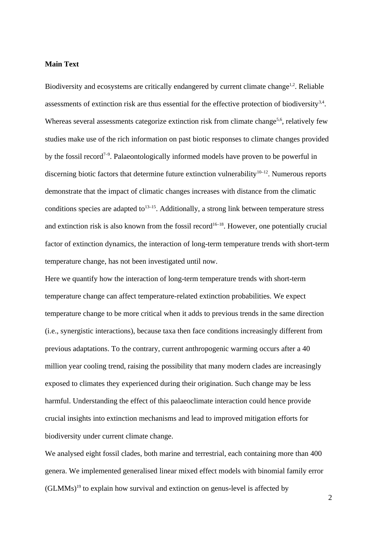#### **Main Text**

Biodiversity and ecosystems are critically endangered by current climate change<sup>1,2</sup>. Reliable assessments of extinction risk are thus essential for the effective protection of biodiversity $3,4$ . Whereas several assessments categorize extinction risk from climate change<sup>5,6</sup>, relatively few studies make use of the rich information on past biotic responses to climate changes provided by the fossil record<sup> $7-9$ </sup>. Palaeontologically informed models have proven to be powerful in discerning biotic factors that determine future extinction vulnerability<sup>10–12</sup>. Numerous reports demonstrate that the impact of climatic changes increases with distance from the climatic conditions species are adapted to<sup>13-15</sup>. Additionally, a strong link between temperature stress and extinction risk is also known from the fossil record<sup>16–18</sup>. However, one potentially crucial factor of extinction dynamics, the interaction of long-term temperature trends with short-term temperature change, has not been investigated until now.

Here we quantify how the interaction of long-term temperature trends with short-term temperature change can affect temperature-related extinction probabilities. We expect temperature change to be more critical when it adds to previous trends in the same direction (i.e., synergistic interactions), because taxa then face conditions increasingly different from previous adaptations. To the contrary, current anthropogenic warming occurs after a 40 million year cooling trend, raising the possibility that many modern clades are increasingly exposed to climates they experienced during their origination. Such change may be less harmful. Understanding the effect of this palaeoclimate interaction could hence provide crucial insights into extinction mechanisms and lead to improved mitigation efforts for biodiversity under current climate change.

We analysed eight fossil clades, both marine and terrestrial, each containing more than 400 genera. We implemented generalised linear mixed effect models with binomial family error  $(GLMMs)^{19}$  to explain how survival and extinction on genus-level is affected by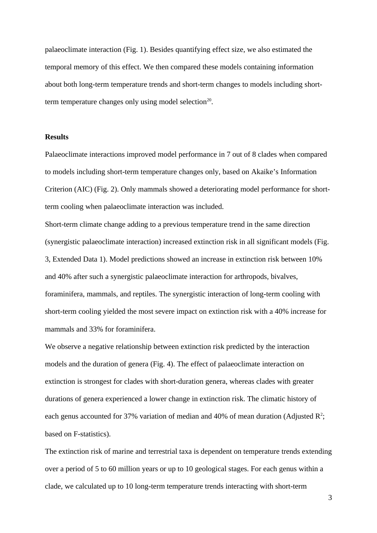palaeoclimate interaction (Fig. 1). Besides quantifying effect size, we also estimated the temporal memory of this effect. We then compared these models containing information about both long-term temperature trends and short-term changes to models including shortterm temperature changes only using model selection<sup>20</sup>.

#### **Results**

Palaeoclimate interactions improved model performance in 7 out of 8 clades when compared to models including short-term temperature changes only, based on Akaike's Information Criterion (AIC) (Fig. 2). Only mammals showed a deteriorating model performance for shortterm cooling when palaeoclimate interaction was included.

Short-term climate change adding to a previous temperature trend in the same direction (synergistic palaeoclimate interaction) increased extinction risk in all significant models (Fig. 3, Extended Data 1). Model predictions showed an increase in extinction risk between 10% and 40% after such a synergistic palaeoclimate interaction for arthropods, bivalves, foraminifera, mammals, and reptiles. The synergistic interaction of long-term cooling with short-term cooling yielded the most severe impact on extinction risk with a 40% increase for mammals and 33% for foraminifera.

We observe a negative relationship between extinction risk predicted by the interaction models and the duration of genera (Fig. 4). The effect of palaeoclimate interaction on extinction is strongest for clades with short-duration genera, whereas clades with greater durations of genera experienced a lower change in extinction risk. The climatic history of each genus accounted for 37% variation of median and 40% of mean duration (Adjusted  $\mathbb{R}^2$ ; based on F-statistics).

The extinction risk of marine and terrestrial taxa is dependent on temperature trends extending over a period of 5 to 60 million years or up to 10 geological stages. For each genus within a clade, we calculated up to 10 long-term temperature trends interacting with short-term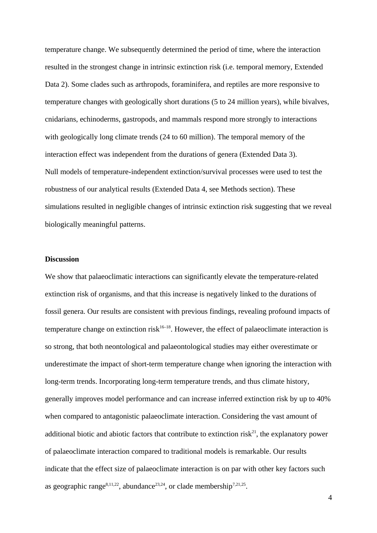temperature change. We subsequently determined the period of time, where the interaction resulted in the strongest change in intrinsic extinction risk (i.e. temporal memory, Extended Data 2). Some clades such as arthropods, foraminifera, and reptiles are more responsive to temperature changes with geologically short durations (5 to 24 million years), while bivalves, cnidarians, echinoderms, gastropods, and mammals respond more strongly to interactions with geologically long climate trends (24 to 60 million). The temporal memory of the interaction effect was independent from the durations of genera (Extended Data 3). Null models of temperature-independent extinction/survival processes were used to test the robustness of our analytical results (Extended Data 4, see Methods section). These simulations resulted in negligible changes of intrinsic extinction risk suggesting that we reveal biologically meaningful patterns.

#### **Discussion**

We show that palaeoclimatic interactions can significantly elevate the temperature-related extinction risk of organisms, and that this increase is negatively linked to the durations of fossil genera. Our results are consistent with previous findings, revealing profound impacts of temperature change on extinction risk<sup>16–18</sup>. However, the effect of palaeoclimate interaction is so strong, that both neontological and palaeontological studies may either overestimate or underestimate the impact of short-term temperature change when ignoring the interaction with long-term trends. Incorporating long-term temperature trends, and thus climate history, generally improves model performance and can increase inferred extinction risk by up to 40% when compared to antagonistic palaeoclimate interaction. Considering the vast amount of additional biotic and abiotic factors that contribute to extinction risk<sup>21</sup>, the explanatory power of palaeoclimate interaction compared to traditional models is remarkable. Our results indicate that the effect size of palaeoclimate interaction is on par with other key factors such as geographic range<sup>8,11,22</sup>, abundance<sup>23,24</sup>, or clade membership<sup>7,21,25</sup>.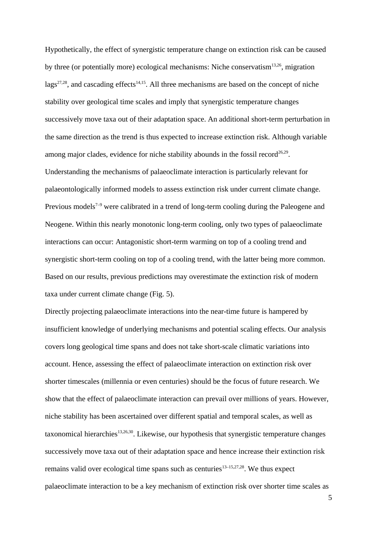Hypothetically, the effect of synergistic temperature change on extinction risk can be caused by three (or potentially more) ecological mechanisms: Niche conservatism $13,26$ , migration lags<sup>27,28</sup>, and cascading effects<sup>14,15</sup>. All three mechanisms are based on the concept of niche stability over geological time scales and imply that synergistic temperature changes successively move taxa out of their adaptation space. An additional short-term perturbation in the same direction as the trend is thus expected to increase extinction risk. Although variable among major clades, evidence for niche stability abounds in the fossil record<sup>26,29</sup>. Understanding the mechanisms of palaeoclimate interaction is particularly relevant for palaeontologically informed models to assess extinction risk under current climate change. Previous models<sup> $7-9$ </sup> were calibrated in a trend of long-term cooling during the Paleogene and Neogene. Within this nearly monotonic long-term cooling, only two types of palaeoclimate interactions can occur: Antagonistic short-term warming on top of a cooling trend and synergistic short-term cooling on top of a cooling trend, with the latter being more common. Based on our results, previous predictions may overestimate the extinction risk of modern taxa under current climate change (Fig. 5).

Directly projecting palaeoclimate interactions into the near-time future is hampered by insufficient knowledge of underlying mechanisms and potential scaling effects. Our analysis covers long geological time spans and does not take short-scale climatic variations into account. Hence, assessing the effect of palaeoclimate interaction on extinction risk over shorter timescales (millennia or even centuries) should be the focus of future research. We show that the effect of palaeoclimate interaction can prevail over millions of years. However, niche stability has been ascertained over different spatial and temporal scales, as well as taxonomical hierarchies<sup>13,26,30</sup>. Likewise, our hypothesis that synergistic temperature changes successively move taxa out of their adaptation space and hence increase their extinction risk remains valid over ecological time spans such as centuries<sup>13–15,27,28</sup>. We thus expect palaeoclimate interaction to be a key mechanism of extinction risk over shorter time scales as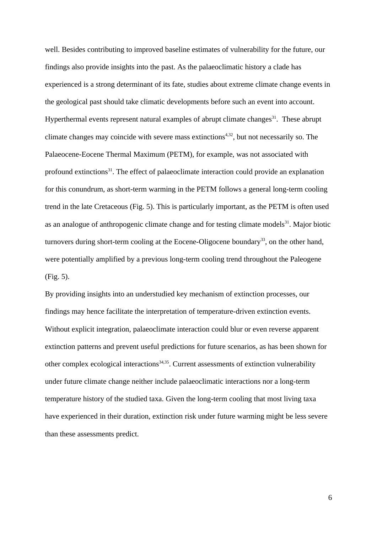well. Besides contributing to improved baseline estimates of vulnerability for the future, our findings also provide insights into the past. As the palaeoclimatic history a clade has experienced is a strong determinant of its fate, studies about extreme climate change events in the geological past should take climatic developments before such an event into account. Hyperthermal events represent natural examples of abrupt climate changes<sup>31</sup>. These abrupt climate changes may coincide with severe mass extinctions<sup> $4,32$ </sup>, but not necessarily so. The Palaeocene-Eocene Thermal Maximum (PETM), for example, was not associated with profound extinctions<sup>31</sup>. The effect of palaeoclimate interaction could provide an explanation for this conundrum, as short-term warming in the PETM follows a general long-term cooling trend in the late Cretaceous (Fig. 5). This is particularly important, as the PETM is often used as an analogue of anthropogenic climate change and for testing climate models $31$ . Major biotic turnovers during short-term cooling at the Eocene-Oligocene boundary<sup>33</sup>, on the other hand, were potentially amplified by a previous long-term cooling trend throughout the Paleogene (Fig. 5).

By providing insights into an understudied key mechanism of extinction processes, our findings may hence facilitate the interpretation of temperature-driven extinction events. Without explicit integration, palaeoclimate interaction could blur or even reverse apparent extinction patterns and prevent useful predictions for future scenarios, as has been shown for other complex ecological interactions<sup>34,35</sup>. Current assessments of extinction vulnerability under future climate change neither include palaeoclimatic interactions nor a long-term temperature history of the studied taxa. Given the long-term cooling that most living taxa have experienced in their duration, extinction risk under future warming might be less severe than these assessments predict.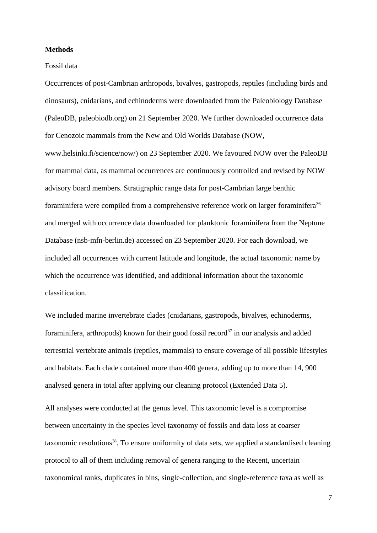#### **Methods**

#### Fossil data

Occurrences of post-Cambrian arthropods, bivalves, gastropods, reptiles (including birds and dinosaurs), cnidarians, and echinoderms were downloaded from the Paleobiology Database (PaleoDB, paleobiodb.org) on 21 September 2020. We further downloaded occurrence data for Cenozoic mammals from the New and Old Worlds Database (NOW,

www.helsinki.fi/science/now/) on 23 September 2020. We favoured NOW over the PaleoDB for mammal data, as mammal occurrences are continuously controlled and revised by NOW advisory board members. Stratigraphic range data for post-Cambrian large benthic foraminifera were compiled from a comprehensive reference work on larger foraminifera<sup>36</sup> and merged with occurrence data downloaded for planktonic foraminifera from the Neptune Database (nsb-mfn-berlin.de) accessed on 23 September 2020. For each download, we included all occurrences with current latitude and longitude, the actual taxonomic name by which the occurrence was identified, and additional information about the taxonomic classification.

We included marine invertebrate clades (cnidarians, gastropods, bivalves, echinoderms, foraminifera, arthropods) known for their good fossil record<sup>37</sup> in our analysis and added terrestrial vertebrate animals (reptiles, mammals) to ensure coverage of all possible lifestyles and habitats. Each clade contained more than 400 genera, adding up to more than 14, 900 analysed genera in total after applying our cleaning protocol (Extended Data 5).

All analyses were conducted at the genus level. This taxonomic level is a compromise between uncertainty in the species level taxonomy of fossils and data loss at coarser taxonomic resolutions<sup>38</sup>. To ensure uniformity of data sets, we applied a standardised cleaning protocol to all of them including removal of genera ranging to the Recent, uncertain taxonomical ranks, duplicates in bins, single-collection, and single-reference taxa as well as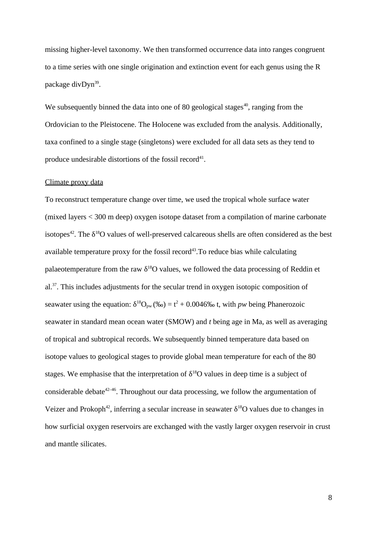missing higher-level taxonomy. We then transformed occurrence data into ranges congruent to a time series with one single origination and extinction event for each genus using the R package divDyn<sup>39</sup>.

We subsequently binned the data into one of 80 geological stages $40$ , ranging from the Ordovician to the Pleistocene. The Holocene was excluded from the analysis. Additionally, taxa confined to a single stage (singletons) were excluded for all data sets as they tend to produce undesirable distortions of the fossil record $41$ .

#### Climate proxy data

To reconstruct temperature change over time, we used the tropical whole surface water (mixed layers < 300 m deep) oxygen isotope dataset from a compilation of marine carbonate isotopes<sup>42</sup>. The  $\delta^{18}O$  values of well-preserved calcareous shells are often considered as the best available temperature proxy for the fossil record<sup>43</sup>. To reduce bias while calculating palaeotemperature from the raw  $\delta^{18}O$  values, we followed the data processing of Reddin et al.<sup>37</sup>. This includes adjustments for the secular trend in oxygen isotopic composition of seawater using the equation:  $\delta^{18}O_{pw}$  (‰) = t<sup>2</sup> + 0.0046‰ t, with *pw* being Phanerozoic seawater in standard mean ocean water (SMOW) and *t* being age in Ma, as well as averaging of tropical and subtropical records. We subsequently binned temperature data based on isotope values to geological stages to provide global mean temperature for each of the 80 stages. We emphasise that the interpretation of  $\delta^{18}O$  values in deep time is a subject of considerable debate<sup>42–46</sup>. Throughout our data processing, we follow the argumentation of Veizer and Prokoph<sup>42</sup>, inferring a secular increase in seawater  $\delta^{18}O$  values due to changes in how surficial oxygen reservoirs are exchanged with the vastly larger oxygen reservoir in crust and mantle silicates.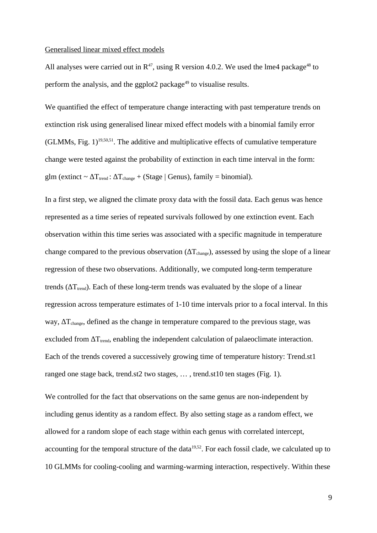#### Generalised linear mixed effect models

All analyses were carried out in  $R^{47}$ , using R version 4.0.2. We used the lme4 package<sup>48</sup> to perform the analysis, and the ggplot2 package<sup>49</sup> to visualise results.

We quantified the effect of temperature change interacting with past temperature trends on extinction risk using generalised linear mixed effect models with a binomial family error (GLMMs, Fig.  $1$ )<sup>19,50,51</sup>. The additive and multiplicative effects of cumulative temperature change were tested against the probability of extinction in each time interval in the form: glm (extinct ~  $\Delta T_{trend}$ :  $\Delta T_{change}$  + (Stage | Genus), family = binomial).

In a first step, we aligned the climate proxy data with the fossil data. Each genus was hence represented as a time series of repeated survivals followed by one extinction event. Each observation within this time series was associated with a specific magnitude in temperature change compared to the previous observation ( $\Delta T_{change}$ ), assessed by using the slope of a linear regression of these two observations. Additionally, we computed long-term temperature trends ( $\Delta T_{trend}$ ). Each of these long-term trends was evaluated by the slope of a linear regression across temperature estimates of 1-10 time intervals prior to a focal interval. In this way,  $\Delta T_{change}$ , defined as the change in temperature compared to the previous stage, was excluded from  $\Delta T_{trend}$ , enabling the independent calculation of palaeoclimate interaction. Each of the trends covered a successively growing time of temperature history: Trend.st1 ranged one stage back, trend.st2 two stages, … , trend.st10 ten stages (Fig. 1).

We controlled for the fact that observations on the same genus are non-independent by including genus identity as a random effect. By also setting stage as a random effect, we allowed for a random slope of each stage within each genus with correlated intercept, accounting for the temporal structure of the data $19,52$ . For each fossil clade, we calculated up to 10 GLMMs for cooling-cooling and warming-warming interaction, respectively. Within these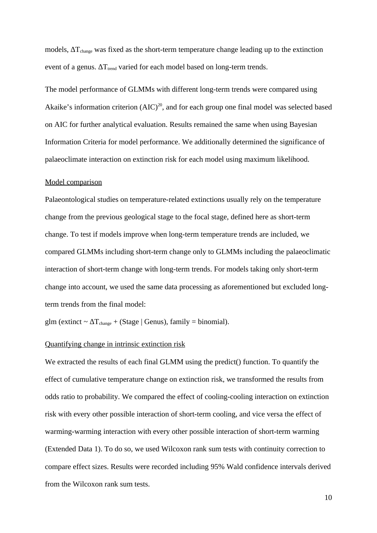models,  $\Delta T_{change}$  was fixed as the short-term temperature change leading up to the extinction event of a genus.  $\Delta T_{trend}$  varied for each model based on long-term trends.

The model performance of GLMMs with different long-term trends were compared using Akaike's information criterion  $(AIC)^{20}$ , and for each group one final model was selected based on AIC for further analytical evaluation. Results remained the same when using Bayesian Information Criteria for model performance. We additionally determined the significance of palaeoclimate interaction on extinction risk for each model using maximum likelihood.

#### Model comparison

Palaeontological studies on temperature-related extinctions usually rely on the temperature change from the previous geological stage to the focal stage, defined here as short-term change. To test if models improve when long-term temperature trends are included, we compared GLMMs including short-term change only to GLMMs including the palaeoclimatic interaction of short-term change with long-term trends. For models taking only short-term change into account, we used the same data processing as aforementioned but excluded longterm trends from the final model:

glm (extinct  $\sim \Delta T_{change} + (Stage \mid Genus)$ , family = binomial).

#### Quantifying change in intrinsic extinction risk

We extracted the results of each final GLMM using the predict() function. To quantify the effect of cumulative temperature change on extinction risk, we transformed the results from odds ratio to probability. We compared the effect of cooling-cooling interaction on extinction risk with every other possible interaction of short-term cooling, and vice versa the effect of warming-warming interaction with every other possible interaction of short-term warming (Extended Data 1). To do so, we used Wilcoxon rank sum tests with continuity correction to compare effect sizes. Results were recorded including 95% Wald confidence intervals derived from the Wilcoxon rank sum tests.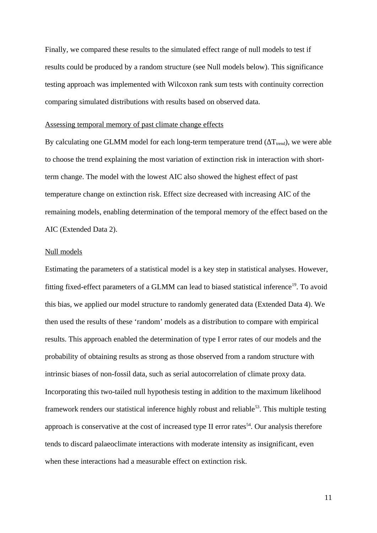Finally, we compared these results to the simulated effect range of null models to test if results could be produced by a random structure (see Null models below). This significance testing approach was implemented with Wilcoxon rank sum tests with continuity correction comparing simulated distributions with results based on observed data.

#### Assessing temporal memory of past climate change effects

By calculating one GLMM model for each long-term temperature trend ( $\Delta T_{trend}$ ), we were able to choose the trend explaining the most variation of extinction risk in interaction with shortterm change. The model with the lowest AIC also showed the highest effect of past temperature change on extinction risk. Effect size decreased with increasing AIC of the remaining models, enabling determination of the temporal memory of the effect based on the AIC (Extended Data 2).

#### Null models

Estimating the parameters of a statistical model is a key step in statistical analyses. However, fitting fixed-effect parameters of a GLMM can lead to biased statistical inference<sup>19</sup>. To avoid this bias, we applied our model structure to randomly generated data (Extended Data 4). We then used the results of these 'random' models as a distribution to compare with empirical results. This approach enabled the determination of type I error rates of our models and the probability of obtaining results as strong as those observed from a random structure with intrinsic biases of non-fossil data, such as serial autocorrelation of climate proxy data. Incorporating this two-tailed null hypothesis testing in addition to the maximum likelihood framework renders our statistical inference highly robust and reliable<sup>53</sup>. This multiple testing approach is conservative at the cost of increased type II error rates<sup> $54$ </sup>. Our analysis therefore tends to discard palaeoclimate interactions with moderate intensity as insignificant, even when these interactions had a measurable effect on extinction risk.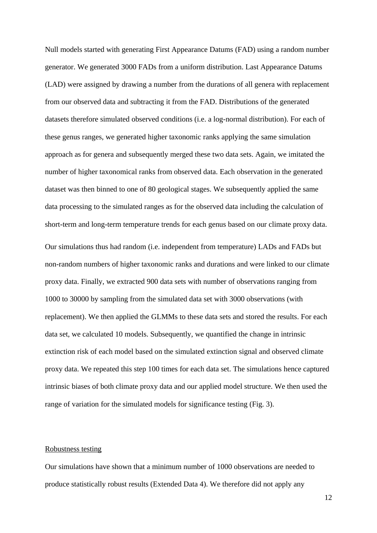Null models started with generating First Appearance Datums (FAD) using a random number generator. We generated 3000 FADs from a uniform distribution. Last Appearance Datums (LAD) were assigned by drawing a number from the durations of all genera with replacement from our observed data and subtracting it from the FAD. Distributions of the generated datasets therefore simulated observed conditions (i.e. a log-normal distribution). For each of these genus ranges, we generated higher taxonomic ranks applying the same simulation approach as for genera and subsequently merged these two data sets. Again, we imitated the number of higher taxonomical ranks from observed data. Each observation in the generated dataset was then binned to one of 80 geological stages. We subsequently applied the same data processing to the simulated ranges as for the observed data including the calculation of short-term and long-term temperature trends for each genus based on our climate proxy data.

Our simulations thus had random (i.e. independent from temperature) LADs and FADs but non-random numbers of higher taxonomic ranks and durations and were linked to our climate proxy data. Finally, we extracted 900 data sets with number of observations ranging from 1000 to 30000 by sampling from the simulated data set with 3000 observations (with replacement). We then applied the GLMMs to these data sets and stored the results. For each data set, we calculated 10 models. Subsequently, we quantified the change in intrinsic extinction risk of each model based on the simulated extinction signal and observed climate proxy data. We repeated this step 100 times for each data set. The simulations hence captured intrinsic biases of both climate proxy data and our applied model structure. We then used the range of variation for the simulated models for significance testing (Fig. 3).

#### Robustness testing

Our simulations have shown that a minimum number of 1000 observations are needed to produce statistically robust results (Extended Data 4). We therefore did not apply any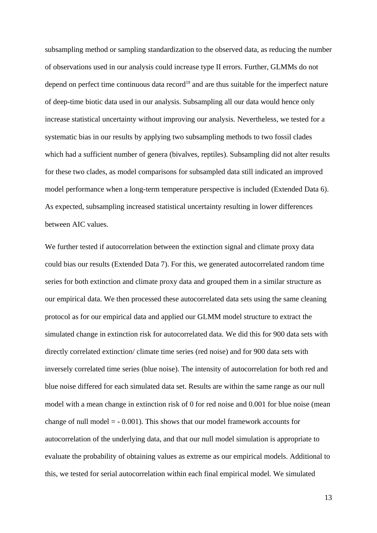subsampling method or sampling standardization to the observed data, as reducing the number of observations used in our analysis could increase type II errors. Further, GLMMs do not depend on perfect time continuous data record<sup>19</sup> and are thus suitable for the imperfect nature of deep-time biotic data used in our analysis. Subsampling all our data would hence only increase statistical uncertainty without improving our analysis. Nevertheless, we tested for a systematic bias in our results by applying two subsampling methods to two fossil clades which had a sufficient number of genera (bivalves, reptiles). Subsampling did not alter results for these two clades, as model comparisons for subsampled data still indicated an improved model performance when a long-term temperature perspective is included (Extended Data 6). As expected, subsampling increased statistical uncertainty resulting in lower differences between AIC values.

We further tested if autocorrelation between the extinction signal and climate proxy data could bias our results (Extended Data 7). For this, we generated autocorrelated random time series for both extinction and climate proxy data and grouped them in a similar structure as our empirical data. We then processed these autocorrelated data sets using the same cleaning protocol as for our empirical data and applied our GLMM model structure to extract the simulated change in extinction risk for autocorrelated data. We did this for 900 data sets with directly correlated extinction/ climate time series (red noise) and for 900 data sets with inversely correlated time series (blue noise). The intensity of autocorrelation for both red and blue noise differed for each simulated data set. Results are within the same range as our null model with a mean change in extinction risk of 0 for red noise and 0.001 for blue noise (mean change of null model  $= -0.001$ ). This shows that our model framework accounts for autocorrelation of the underlying data, and that our null model simulation is appropriate to evaluate the probability of obtaining values as extreme as our empirical models. Additional to this, we tested for serial autocorrelation within each final empirical model. We simulated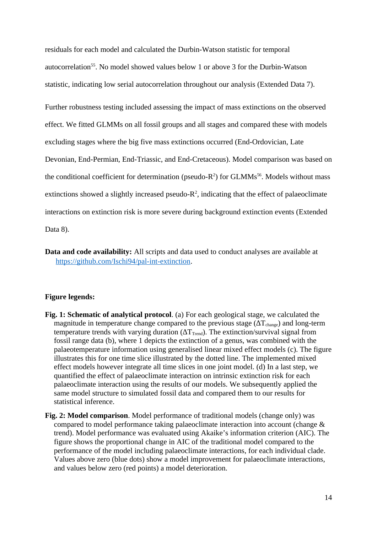residuals for each model and calculated the Durbin-Watson statistic for temporal autocorrelation<sup>55</sup>. No model showed values below 1 or above 3 for the Durbin-Watson statistic, indicating low serial autocorrelation throughout our analysis (Extended Data 7).

Further robustness testing included assessing the impact of mass extinctions on the observed effect. We fitted GLMMs on all fossil groups and all stages and compared these with models excluding stages where the big five mass extinctions occurred (End-Ordovician, Late Devonian, End-Permian, End-Triassic, and End-Cretaceous). Model comparison was based on the conditional coefficient for determination (pseudo-R<sup>2</sup>) for GLMMs<sup>56</sup>. Models without mass extinctions showed a slightly increased pseudo- $R^2$ , indicating that the effect of palaeoclimate interactions on extinction risk is more severe during background extinction events (Extended Data 8).

**Data and code availability:** All scripts and data used to conduct analyses are available at [https://github.com/Ischi94/pal-int-extinction.](https://github.com/Ischi94/pal-int-extinction)

## **Figure legends:**

- **Fig. 1: Schematic of analytical protocol**. (a) For each geological stage, we calculated the magnitude in temperature change compared to the previous stage ( $\Delta T_{\text{change}}$ ) and long-term temperature trends with varying duration ( $\Delta T_{\text{Trend}}$ ). The extinction/survival signal from fossil range data (b), where 1 depicts the extinction of a genus, was combined with the palaeotemperature information using generalised linear mixed effect models (c). The figure illustrates this for one time slice illustrated by the dotted line. The implemented mixed effect models however integrate all time slices in one joint model. (d) In a last step, we quantified the effect of palaeoclimate interaction on intrinsic extinction risk for each palaeoclimate interaction using the results of our models. We subsequently applied the same model structure to simulated fossil data and compared them to our results for statistical inference.
- **Fig. 2: Model comparison**. Model performance of traditional models (change only) was compared to model performance taking palaeoclimate interaction into account (change & trend). Model performance was evaluated using Akaike's information criterion (AIC). The figure shows the proportional change in AIC of the traditional model compared to the performance of the model including palaeoclimate interactions, for each individual clade. Values above zero (blue dots) show a model improvement for palaeoclimate interactions, and values below zero (red points) a model deterioration.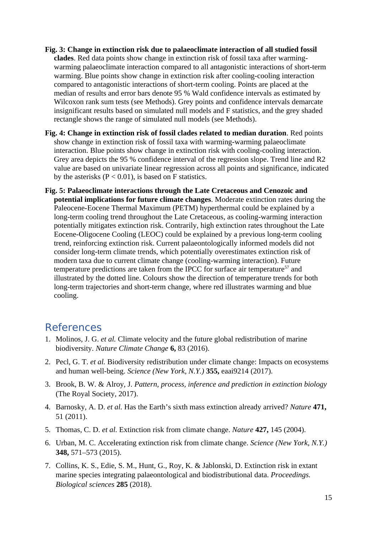- **Fig. 3: Change in extinction risk due to palaeoclimate interaction of all studied fossil clades**. Red data points show change in extinction risk of fossil taxa after warmingwarming palaeoclimate interaction compared to all antagonistic interactions of short-term warming. Blue points show change in extinction risk after cooling-cooling interaction compared to antagonistic interactions of short-term cooling. Points are placed at the median of results and error bars denote 95 % Wald confidence intervals as estimated by Wilcoxon rank sum tests (see Methods). Grey points and confidence intervals demarcate insignificant results based on simulated null models and F statistics, and the grey shaded rectangle shows the range of simulated null models (see Methods).
- **Fig. 4: Change in extinction risk of fossil clades related to median duration**. Red points show change in extinction risk of fossil taxa with warming-warming palaeoclimate interaction. Blue points show change in extinction risk with cooling-cooling interaction. Grey area depicts the 95 % confidence interval of the regression slope. Trend line and R2 value are based on univariate linear regression across all points and significance, indicated by the asterisks ( $P < 0.01$ ), is based on F statistics.
- **Fig. 5: Palaeoclimate interactions through the Late Cretaceous and Cenozoic and potential implications for future climate changes**. Moderate extinction rates during the Paleocene-Eocene Thermal Maximum (PETM) hyperthermal could be explained by a long-term cooling trend throughout the Late Cretaceous, as cooling-warming interaction potentially mitigates extinction risk. Contrarily, high extinction rates throughout the Late Eocene-Oligocene Cooling (LEOC) could be explained by a previous long-term cooling trend, reinforcing extinction risk. Current palaeontologically informed models did not consider long-term climate trends, which potentially overestimates extinction risk of modern taxa due to current climate change (cooling-warming interaction). Future temperature predictions are taken from the IPCC for surface air temperature<sup>57</sup> and illustrated by the dotted line. Colours show the direction of temperature trends for both long-term trajectories and short-term change, where red illustrates warming and blue cooling.

# References

- 1. Molinos, J. G. *et al.* Climate velocity and the future global redistribution of marine biodiversity. *Nature Climate Change* **6,** 83 (2016).
- 2. Pecl, G. T. *et al.* Biodiversity redistribution under climate change: Impacts on ecosystems and human well-being. *Science (New York, N.Y.)* **355,** eaai9214 (2017).
- 3. Brook, B. W. & Alroy, J. *Pattern, process, inference and prediction in extinction biology*  (The Royal Society, 2017).
- 4. Barnosky, A. D. *et al.* Has the Earth's sixth mass extinction already arrived? *Nature* **471,**  51 (2011).
- 5. Thomas, C. D. *et al.* Extinction risk from climate change. *Nature* **427,** 145 (2004).
- 6. Urban, M. C. Accelerating extinction risk from climate change. *Science (New York, N.Y.)*  **348,** 571–573 (2015).
- 7. Collins, K. S., Edie, S. M., Hunt, G., Roy, K. & Jablonski, D. Extinction risk in extant marine species integrating palaeontological and biodistributional data. *Proceedings. Biological sciences* **285** (2018).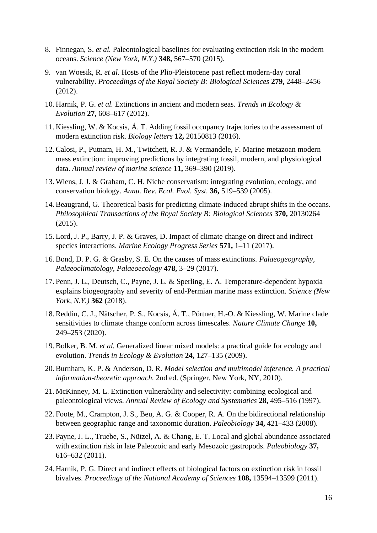- 8. Finnegan, S. *et al.* Paleontological baselines for evaluating extinction risk in the modern oceans. *Science (New York, N.Y.)* **348,** 567–570 (2015).
- 9. van Woesik, R. *et al.* Hosts of the Plio-Pleistocene past reflect modern-day coral vulnerability. *Proceedings of the Royal Society B: Biological Sciences* **279,** 2448–2456 (2012).
- 10. Harnik, P. G. *et al.* Extinctions in ancient and modern seas. *Trends in Ecology & Evolution* **27,** 608–617 (2012).
- 11. Kiessling, W. & Kocsis, Á. T. Adding fossil occupancy trajectories to the assessment of modern extinction risk. *Biology letters* **12,** 20150813 (2016).
- 12. Calosi, P., Putnam, H. M., Twitchett, R. J. & Vermandele, F. Marine metazoan modern mass extinction: improving predictions by integrating fossil, modern, and physiological data. *Annual review of marine science* **11,** 369–390 (2019).
- 13. Wiens, J. J. & Graham, C. H. Niche conservatism: integrating evolution, ecology, and conservation biology. *Annu. Rev. Ecol. Evol. Syst.* **36,** 519–539 (2005).
- 14. Beaugrand, G. Theoretical basis for predicting climate-induced abrupt shifts in the oceans. *Philosophical Transactions of the Royal Society B: Biological Sciences* **370,** 20130264 (2015).
- 15. Lord, J. P., Barry, J. P. & Graves, D. Impact of climate change on direct and indirect species interactions. *Marine Ecology Progress Series* **571,** 1–11 (2017).
- 16. Bond, D. P. G. & Grasby, S. E. On the causes of mass extinctions. *Palaeogeography, Palaeoclimatology, Palaeoecology* **478,** 3–29 (2017).
- 17. Penn, J. L., Deutsch, C., Payne, J. L. & Sperling, E. A. Temperature-dependent hypoxia explains biogeography and severity of end-Permian marine mass extinction. *Science (New York, N.Y.)* **362** (2018).
- 18. Reddin, C. J., Nätscher, P. S., Kocsis, Á. T., Pörtner, H.-O. & Kiessling, W. Marine clade sensitivities to climate change conform across timescales. *Nature Climate Change* **10,**  249–253 (2020).
- 19. Bolker, B. M. *et al.* Generalized linear mixed models: a practical guide for ecology and evolution. *Trends in Ecology & Evolution* **24,** 127–135 (2009).
- 20. Burnham, K. P. & Anderson, D. R. *Model selection and multimodel inference. A practical information-theoretic approach.* 2nd ed. (Springer, New York, NY, 2010).
- 21. McKinney, M. L. Extinction vulnerability and selectivity: combining ecological and paleontological views. *Annual Review of Ecology and Systematics* **28,** 495–516 (1997).
- 22. Foote, M., Crampton, J. S., Beu, A. G. & Cooper, R. A. On the bidirectional relationship between geographic range and taxonomic duration. *Paleobiology* **34,** 421–433 (2008).
- 23. Payne, J. L., Truebe, S., Nützel, A. & Chang, E. T. Local and global abundance associated with extinction risk in late Paleozoic and early Mesozoic gastropods. *Paleobiology* **37,**  616–632 (2011).
- 24. Harnik, P. G. Direct and indirect effects of biological factors on extinction risk in fossil bivalves. *Proceedings of the National Academy of Sciences* **108,** 13594–13599 (2011).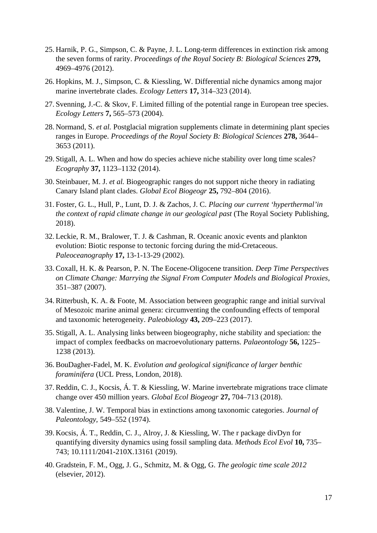- 25. Harnik, P. G., Simpson, C. & Payne, J. L. Long-term differences in extinction risk among the seven forms of rarity. *Proceedings of the Royal Society B: Biological Sciences* **279,**  4969–4976 (2012).
- 26. Hopkins, M. J., Simpson, C. & Kiessling, W. Differential niche dynamics among major marine invertebrate clades. *Ecology Letters* **17,** 314–323 (2014).
- 27. Svenning, J.‐C. & Skov, F. Limited filling of the potential range in European tree species. *Ecology Letters* **7,** 565–573 (2004).
- 28. Normand, S. *et al.* Postglacial migration supplements climate in determining plant species ranges in Europe. *Proceedings of the Royal Society B: Biological Sciences* **278,** 3644– 3653 (2011).
- 29. Stigall, A. L. When and how do species achieve niche stability over long time scales? *Ecography* **37,** 1123–1132 (2014).
- 30. Steinbauer, M. J. *et al.* Biogeographic ranges do not support niche theory in radiating Canary Island plant clades. *Global Ecol Biogeogr* **25,** 792–804 (2016).
- 31. Foster, G. L., Hull, P., Lunt, D. J. & Zachos, J. C. *Placing our current 'hyperthermal'in the context of rapid climate change in our geological past* (The Royal Society Publishing, 2018).
- 32. Leckie, R. M., Bralower, T. J. & Cashman, R. Oceanic anoxic events and plankton evolution: Biotic response to tectonic forcing during the mid‐Cretaceous. *Paleoceanography* **17,** 13-1-13-29 (2002).
- 33. Coxall, H. K. & Pearson, P. N. The Eocene-Oligocene transition. *Deep Time Perspectives on Climate Change: Marrying the Signal From Computer Models and Biological Proxies,*  351–387 (2007).
- 34. Ritterbush, K. A. & Foote, M. Association between geographic range and initial survival of Mesozoic marine animal genera: circumventing the confounding effects of temporal and taxonomic heterogeneity. *Paleobiology* **43,** 209–223 (2017).
- 35. Stigall, A. L. Analysing links between biogeography, niche stability and speciation: the impact of complex feedbacks on macroevolutionary patterns. *Palaeontology* **56,** 1225– 1238 (2013).
- 36. BouDagher-Fadel, M. K. *Evolution and geological significance of larger benthic foraminifera* (UCL Press, London, 2018).
- 37. Reddin, C. J., Kocsis, Á. T. & Kiessling, W. Marine invertebrate migrations trace climate change over 450 million years. *Global Ecol Biogeogr* **27,** 704–713 (2018).
- 38. Valentine, J. W. Temporal bias in extinctions among taxonomic categories. *Journal of Paleontology,* 549–552 (1974).
- 39. Kocsis, Á. T., Reddin, C. J., Alroy, J. & Kiessling, W. The r package divDyn for quantifying diversity dynamics using fossil sampling data. *Methods Ecol Evol* **10,** 735– 743; 10.1111/2041-210X.13161 (2019).
- 40. Gradstein, F. M., Ogg, J. G., Schmitz, M. & Ogg, G. *The geologic time scale 2012*  (elsevier, 2012).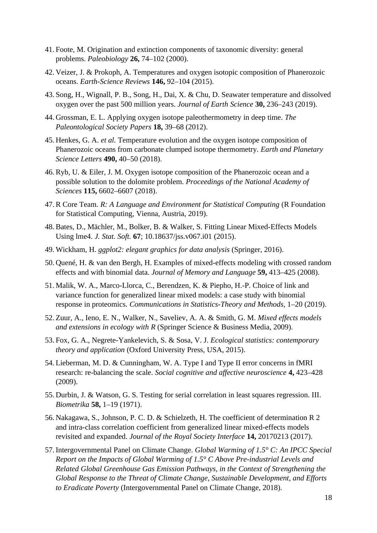- 41. Foote, M. Origination and extinction components of taxonomic diversity: general problems. *Paleobiology* **26,** 74–102 (2000).
- 42. Veizer, J. & Prokoph, A. Temperatures and oxygen isotopic composition of Phanerozoic oceans. *Earth-Science Reviews* **146,** 92–104 (2015).
- 43. Song, H., Wignall, P. B., Song, H., Dai, X. & Chu, D. Seawater temperature and dissolved oxygen over the past 500 million years. *Journal of Earth Science* **30,** 236–243 (2019).
- 44. Grossman, E. L. Applying oxygen isotope paleothermometry in deep time. *The Paleontological Society Papers* **18,** 39–68 (2012).
- 45. Henkes, G. A. *et al.* Temperature evolution and the oxygen isotope composition of Phanerozoic oceans from carbonate clumped isotope thermometry. *Earth and Planetary Science Letters* **490,** 40–50 (2018).
- 46. Ryb, U. & Eiler, J. M. Oxygen isotope composition of the Phanerozoic ocean and a possible solution to the dolomite problem. *Proceedings of the National Academy of Sciences* **115,** 6602–6607 (2018).
- 47. R Core Team. *R: A Language and Environment for Statistical Computing (R Foundation* for Statistical Computing, Vienna, Austria, 2019).
- 48. Bates, D., Mächler, M., Bolker, B. & Walker, S. Fitting Linear Mixed-Effects Models Using lme4. *J. Stat. Soft.* **67**; 10.18637/jss.v067.i01 (2015).
- 49. Wickham, H. *ggplot2: elegant graphics for data analysis* (Springer, 2016).
- 50. Quené, H. & van den Bergh, H. Examples of mixed-effects modeling with crossed random effects and with binomial data. *Journal of Memory and Language* **59,** 413–425 (2008).
- 51. Malik, W. A., Marco-Llorca, C., Berendzen, K. & Piepho, H.-P. Choice of link and variance function for generalized linear mixed models: a case study with binomial response in proteomics. *Communications in Statistics-Theory and Methods,* 1–20 (2019).
- 52. Zuur, A., Ieno, E. N., Walker, N., Saveliev, A. A. & Smith, G. M. *Mixed effects models and extensions in ecology with R* (Springer Science & Business Media, 2009).
- 53. Fox, G. A., Negrete-Yankelevich, S. & Sosa, V. J. *Ecological statistics: contemporary theory and application* (Oxford University Press, USA, 2015).
- 54. Lieberman, M. D. & Cunningham, W. A. Type I and Type II error concerns in fMRI research: re-balancing the scale. *Social cognitive and affective neuroscience* **4,** 423–428 (2009).
- 55. Durbin, J. & Watson, G. S. Testing for serial correlation in least squares regression. III. *Biometrika* **58,** 1–19 (1971).
- 56. Nakagawa, S., Johnson, P. C. D. & Schielzeth, H. The coefficient of determination R 2 and intra-class correlation coefficient from generalized linear mixed-effects models revisited and expanded. *Journal of the Royal Society Interface* **14,** 20170213 (2017).
- 57. Intergovernmental Panel on Climate Change. *Global Warming of 1.5° C: An IPCC Special Report on the Impacts of Global Warming of 1.5° C Above Pre-industrial Levels and Related Global Greenhouse Gas Emission Pathways, in the Context of Strengthening the Global Response to the Threat of Climate Change, Sustainable Development, and Efforts to Eradicate Poverty* (Intergovernmental Panel on Climate Change, 2018).